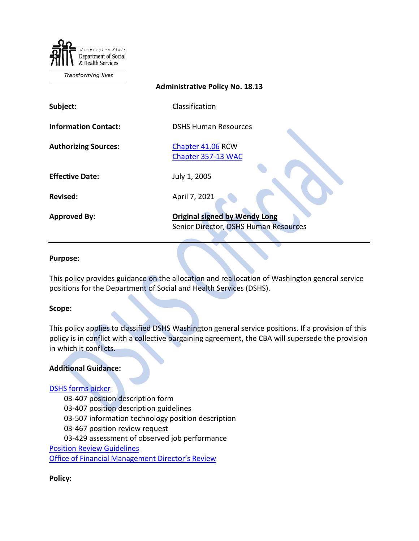Department of Social & Health Services

Transforming lives

# **Administrative Policy No. 18.13**

| Subject:                    | Classification                                                                |
|-----------------------------|-------------------------------------------------------------------------------|
| <b>Information Contact:</b> | <b>DSHS Human Resources</b>                                                   |
| <b>Authorizing Sources:</b> | Chapter 41.06 RCW<br>Chapter 357-13 WAC                                       |
| <b>Effective Date:</b>      | July 1, 2005                                                                  |
| <b>Revised:</b>             | April 7, 2021                                                                 |
| <b>Approved By:</b>         | <b>Original signed by Wendy Long</b><br>Senior Director, DSHS Human Resources |

#### **Purpose:**

This policy provides guidance on the allocation and reallocation of Washington general service positions for the Department of Social and Health Services (DSHS).

#### **Scope:**

This policy applies to classified DSHS Washington general service positions. If a provision of this policy is in conflict with a collective bargaining agreement, the CBA will supersede the provision in which it conflicts.

### **Additional Guidance:**

#### [DSHS forms picker](http://forms.dshs.wa.lcl/)

- 03-407 position description form
- 03-407 position description guidelines
- 03-507 information technology position description
- 03-467 position review request
- 03-429 assessment of observed job performance

[Position Review Guidelines](http://hrd.dshs.wa.gov/Top_Toolbar/Guidlines_and_Best_Practices/documents/PositionReviewGuideline.doc)

Office of Financial [Management Director's Review](https://ofm.wa.gov/state-human-resources/reviews-appeals/directors-reviews)

**Policy:**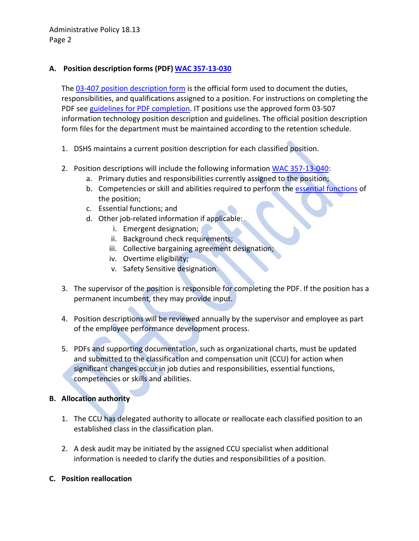Administrative Policy 18.13 Page 2

## **A. Position description forms (PDF) WAC [357-13-030](https://apps.leg.wa.gov/wac/default.aspx?cite=357-13-030)**

The [03-407 position description](http://forms.dshs.wa.lcl/) form is the official form used to document the duties, responsibilities, and qualifications assigned to a position. For instructions on completing the PDF see [guidelines for PDF completion.](http://forms.dshs.wa.lcl/) IT positions use the approved form 03-507 information technology position description and guidelines. The official position description form files for the department must be maintained according to the retention schedule.

- 1. DSHS maintains a current position description for each classified position.
- 2. Position descriptions will include the following information [WAC 357-13-040:](https://apps.leg.wa.gov/wac/default.aspx?cite=357-13-040)
	- a. Primary duties and responsibilities currently assigned to the position;
	- b. Competencies or skill and abilities required to perform the [essential functions](https://ofm.wa.gov/state-human-resources/diversity/persons-disabilities-state-government/essential-functions-guide) of the position;
	- c. Essential functions; and
	- d. Other job-related information if applicable:
		- i. Emergent designation;
		- ii. Background check requirements;
		- iii. Collective bargaining agreement designation;
		- iv. Overtime eligibility;
		- v. Safety Sensitive designation.
- 3. The supervisor of the position is responsible for completing the PDF. If the position has a permanent incumbent, they may provide input.
- 4. Position descriptions will be reviewed annually by the supervisor and employee as part of the employee performance development process.
- 5. PDFs and supporting documentation, such as organizational charts, must be updated and submitted to the classification and compensation unit (CCU) for action when significant changes occur in job duties and responsibilities, essential functions, competencies or skills and abilities.

## **B. Allocation authority**

- 1. The CCU has delegated authority to allocate or reallocate each classified position to an established class in the classification plan.
- 2. A desk audit may be initiated by the assigned CCU specialist when additional information is needed to clarify the duties and responsibilities of a position.
- **C. Position reallocation**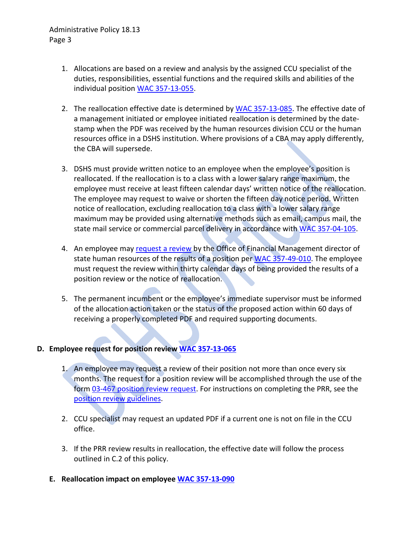- 1. Allocations are based on a review and analysis by the assigned CCU specialist of the duties, responsibilities, essential functions and the required skills and abilities of the individual position [WAC 357-13-055.](http://apps.leg.wa.gov/WAC/default.aspx?cite=357-13-055)
- 2. The reallocation effective date is determined by [WAC 357-13-085.](http://apps.leg.wa.gov/WAC/default.aspx?cite=357-13-085) The effective date of a management initiated or employee initiated reallocation is determined by the datestamp when the PDF was received by the human resources division CCU or the human resources office in a DSHS institution. Where provisions of a CBA may apply differently, the CBA will supersede.
- 3. DSHS must provide written notice to an employee when the employee's position is reallocated. If the reallocation is to a class with a lower salary range maximum, the employee must receive at least fifteen calendar days' written notice of the reallocation. The employee may request to waive or shorten the fifteen day notice period. Written notice of reallocation, excluding reallocation to a class with a lower salary range maximum may be provided using alternative methods such as email, campus mail, the state mail service or commercial parcel delivery in accordance with [WAC 357-04-105.](https://apps.leg.wa.gov/wac/default.aspx?cite=357-04-105)
- 4. An employee may [request a review](https://ofm.wa.gov/state-human-resources/reviews-appeals/directors-reviews) by the Office of Financial Management director of state human resources of the results of a position per [WAC 357-49-010.](https://apps.leg.wa.gov/wac/default.aspx?cite=357-49-010) The employee must request the review within thirty calendar days of being provided the results of a position review or the notice of reallocation.
- 5. The permanent incumbent or the employee's immediate supervisor must be informed of the allocation action taken or the status of the proposed action within 60 days of receiving a properly completed PDF and required supporting documents.

## **D. Employee request for position review [WAC 357-13-065](http://apps.leg.wa.gov/WAC/default.aspx?cite=357-13-065)**

- 1. An employee may request a review of their position not more than once every six months. The request for a position review will be accomplished through the use of the form 03-467 [position review request.](http://forms.dshs.wa.lcl/) For instructions on completing the PRR, see the [position review guidelines.](http://hrd.dshs.wa.gov/Top_Toolbar/Guidlines_and_Best_Practices/documents/PositionReviewGuideline.doc)
- 2. CCU specialist may request an updated PDF if a current one is not on file in the CCU office.
- 3. If the PRR review results in reallocation, the effective date will follow the process outlined in C.2 of this policy.
- **E. Reallocation impact on employee [WAC 357-13-090](http://apps.leg.wa.gov/WAC/default.aspx?cite=357-13-090)**